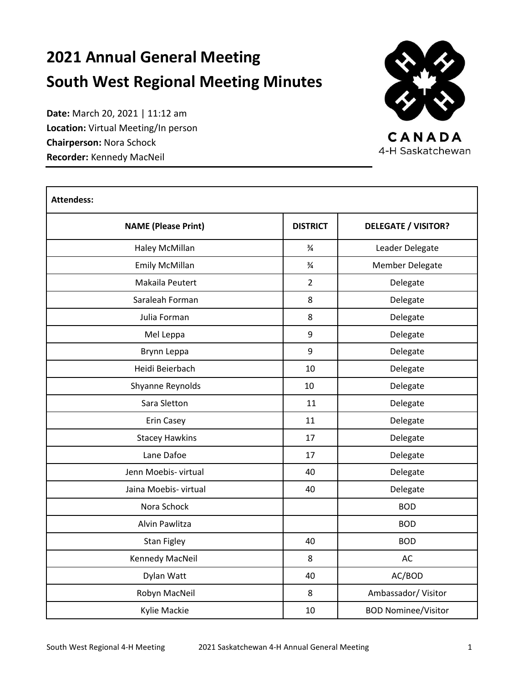# **2021 Annual General Meeting South West Regional Meeting Minutes**

**Date:** March 20, 2021 | 11:12 am **Location:** Virtual Meeting/In person **Chairperson:** Nora Schock **Recorder:** Kennedy MacNeil



CANADA 4-H Saskatchewan

| <b>Attendess:</b>          |                 |                            |  |  |  |
|----------------------------|-----------------|----------------------------|--|--|--|
| <b>NAME (Please Print)</b> | <b>DISTRICT</b> | <b>DELEGATE / VISITOR?</b> |  |  |  |
| Haley McMillan             | $\frac{3}{4}$   | Leader Delegate            |  |  |  |
| <b>Emily McMillan</b>      | $\frac{3}{4}$   | Member Delegate            |  |  |  |
| Makaila Peutert            | $\overline{2}$  | Delegate                   |  |  |  |
| Saraleah Forman            | 8               | Delegate                   |  |  |  |
| Julia Forman               | 8               | Delegate                   |  |  |  |
| Mel Leppa                  | 9               | Delegate                   |  |  |  |
| Brynn Leppa                | 9               | Delegate                   |  |  |  |
| Heidi Beierbach            | 10              | Delegate                   |  |  |  |
| Shyanne Reynolds           | 10              | Delegate                   |  |  |  |
| Sara Sletton               | 11              | Delegate                   |  |  |  |
| Erin Casey                 | 11              | Delegate                   |  |  |  |
| <b>Stacey Hawkins</b>      | 17              | Delegate                   |  |  |  |
| Lane Dafoe                 | 17              | Delegate                   |  |  |  |
| Jenn Moebis- virtual       | 40              | Delegate                   |  |  |  |
| Jaina Moebis- virtual      | 40              | Delegate                   |  |  |  |
| Nora Schock                |                 | <b>BOD</b>                 |  |  |  |
| Alvin Pawlitza             |                 | <b>BOD</b>                 |  |  |  |
| <b>Stan Figley</b>         | 40              | <b>BOD</b>                 |  |  |  |
| Kennedy MacNeil            | 8               | AC                         |  |  |  |
| Dylan Watt                 | 40              | AC/BOD                     |  |  |  |
| Robyn MacNeil              | 8               | Ambassador/Visitor         |  |  |  |
| Kylie Mackie               | 10              | <b>BOD Nominee/Visitor</b> |  |  |  |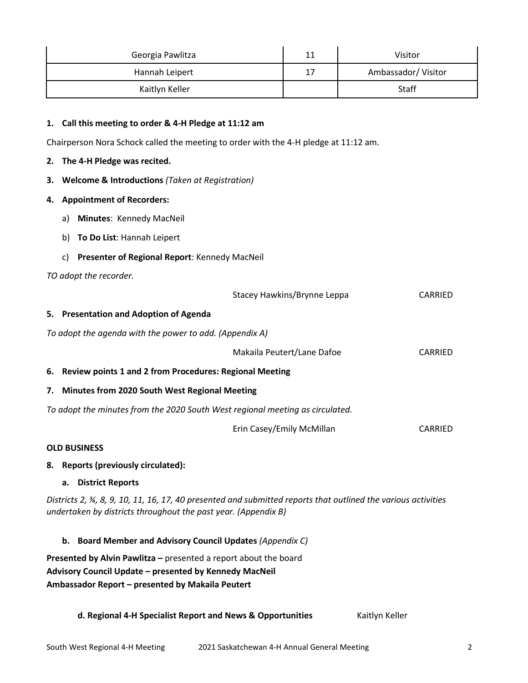| Georgia Pawlitza | 11 | Visitor            |
|------------------|----|--------------------|
| Hannah Leipert   | 17 | Ambassador/Visitor |
| Kaitlyn Keller   |    | <b>Staff</b>       |

# **1. Call this meeting to order & 4-H Pledge at 11:12 am**

Chairperson Nora Schock called the meeting to order with the 4-H pledge at 11:12 am.

#### **2. The 4-H Pledge was recited.**

## **3. Welcome & Introductions** *(Taken at Registration)*

## **4. Appointment of Recorders:**

- a) **Minutes**: Kennedy MacNeil
- b) **To Do List**: Hannah Leipert
- c) **Presenter of Regional Report**: Kennedy MacNeil

## *TO adopt the recorder.*

|                                                                               | Stacey Hawkins/Brynne Leppa | CARRIED |
|-------------------------------------------------------------------------------|-----------------------------|---------|
| 5. Presentation and Adoption of Agenda                                        |                             |         |
| To adopt the agenda with the power to add. (Appendix A)                       |                             |         |
|                                                                               | Makaila Peutert/Lane Dafoe  | CARRIED |
| 6. Review points 1 and 2 from Procedures: Regional Meeting                    |                             |         |
| 7. Minutes from 2020 South West Regional Meeting                              |                             |         |
| To adopt the minutes from the 2020 South West regional meeting as circulated. |                             |         |
|                                                                               | Erin Casey/Emily McMillan   | CARRIED |

#### **OLD BUSINESS**

## **8. Reports (previously circulated):**

#### **a. District Reports**

*Districts 2, ¾, 8, 9, 10, 11, 16, 17, 40 presented and submitted reports that outlined the various activities undertaken by districts throughout the past year. (Appendix B)*

# **b. Board Member and Advisory Council Updates** *(Appendix C)*

**Presented by Alvin Pawlitza –** presented a report about the board **Advisory Council Update – presented by Kennedy MacNeil Ambassador Report – presented by Makaila Peutert**

# **d. Regional 4-H Specialist Report and News & Opportunities** Kaitlyn Keller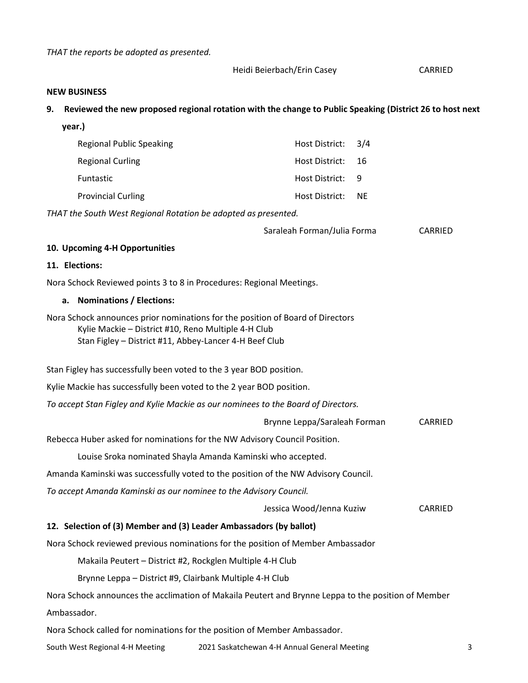*THAT the reports be adopted as presented.*

Heidi Beierbach/Erin Casey CARRIED

#### **NEW BUSINESS**

## **9. Reviewed the new proposed regional rotation with the change to Public Speaking (District 26 to host next**

| year.)                                                                                                                                                                                          |                                                             |                |
|-------------------------------------------------------------------------------------------------------------------------------------------------------------------------------------------------|-------------------------------------------------------------|----------------|
| <b>Regional Public Speaking</b>                                                                                                                                                                 | Host District:                                              | 3/4            |
| <b>Regional Curling</b>                                                                                                                                                                         | Host District:                                              | 16             |
| Funtastic                                                                                                                                                                                       | Host District:                                              | 9              |
| <b>Provincial Curling</b>                                                                                                                                                                       | Host District:                                              | <b>NE</b>      |
| THAT the South West Regional Rotation be adopted as presented.                                                                                                                                  |                                                             |                |
|                                                                                                                                                                                                 | Saraleah Forman/Julia Forma                                 | CARRIED        |
| 10. Upcoming 4-H Opportunities                                                                                                                                                                  |                                                             |                |
| 11. Elections:                                                                                                                                                                                  |                                                             |                |
| Nora Schock Reviewed points 3 to 8 in Procedures: Regional Meetings.                                                                                                                            |                                                             |                |
| <b>Nominations / Elections:</b><br>а.                                                                                                                                                           |                                                             |                |
| Nora Schock announces prior nominations for the position of Board of Directors<br>Kylie Mackie - District #10, Reno Multiple 4-H Club<br>Stan Figley - District #11, Abbey-Lancer 4-H Beef Club |                                                             |                |
| Stan Figley has successfully been voted to the 3 year BOD position.                                                                                                                             |                                                             |                |
| Kylie Mackie has successfully been voted to the 2 year BOD position.                                                                                                                            |                                                             |                |
| To accept Stan Figley and Kylie Mackie as our nominees to the Board of Directors.                                                                                                               |                                                             |                |
|                                                                                                                                                                                                 | Brynne Leppa/Saraleah Forman                                | <b>CARRIED</b> |
| Rebecca Huber asked for nominations for the NW Advisory Council Position.                                                                                                                       |                                                             |                |
|                                                                                                                                                                                                 | Louise Sroka nominated Shayla Amanda Kaminski who accepted. |                |
| Amanda Kaminski was successfully voted to the position of the NW Advisory Council.                                                                                                              |                                                             |                |
| To accept Amanda Kaminski as our nominee to the Advisory Council.                                                                                                                               |                                                             |                |
|                                                                                                                                                                                                 | Jessica Wood/Jenna Kuziw                                    | CARRIED        |
| 12. Selection of (3) Member and (3) Leader Ambassadors (by ballot)                                                                                                                              |                                                             |                |
| Nora Schock reviewed previous nominations for the position of Member Ambassador                                                                                                                 |                                                             |                |
| Makaila Peutert - District #2, Rockglen Multiple 4-H Club                                                                                                                                       |                                                             |                |
| Brynne Leppa - District #9, Clairbank Multiple 4-H Club                                                                                                                                         |                                                             |                |
| Nora Schock announces the acclimation of Makaila Peutert and Brynne Leppa to the position of Member                                                                                             |                                                             |                |
| Ambassador.                                                                                                                                                                                     |                                                             |                |
|                                                                                                                                                                                                 |                                                             |                |

Nora Schock called for nominations for the position of Member Ambassador.

South West Regional 4-H Meeting 2021 Saskatchewan 4-H Annual General Meeting 3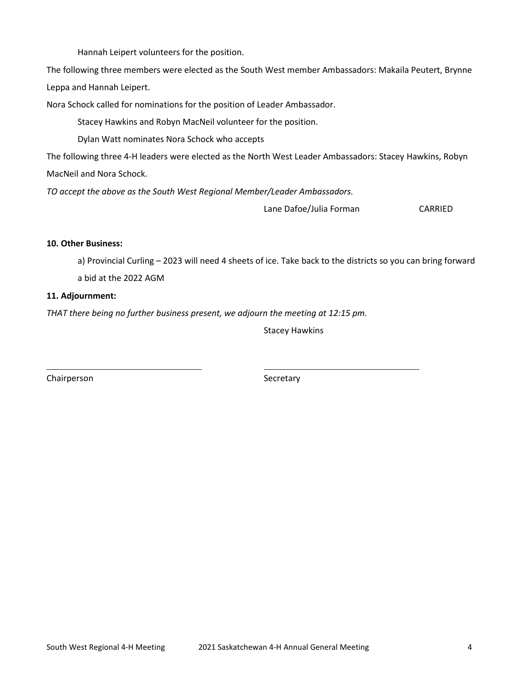Hannah Leipert volunteers for the position.

The following three members were elected as the South West member Ambassadors: Makaila Peutert, Brynne Leppa and Hannah Leipert.

Nora Schock called for nominations for the position of Leader Ambassador.

Stacey Hawkins and Robyn MacNeil volunteer for the position.

Dylan Watt nominates Nora Schock who accepts

The following three 4-H leaders were elected as the North West Leader Ambassadors: Stacey Hawkins, Robyn MacNeil and Nora Schock.

*TO accept the above as the South West Regional Member/Leader Ambassadors.*

Lane Dafoe/Julia Forman CARRIED

# **10. Other Business:**

a) Provincial Curling – 2023 will need 4 sheets of ice. Take back to the districts so you can bring forward a bid at the 2022 AGM

# **11. Adjournment:**

*THAT there being no further business present, we adjourn the meeting at 12:15 pm.*

Stacey Hawkins

Chairperson Secretary Secretary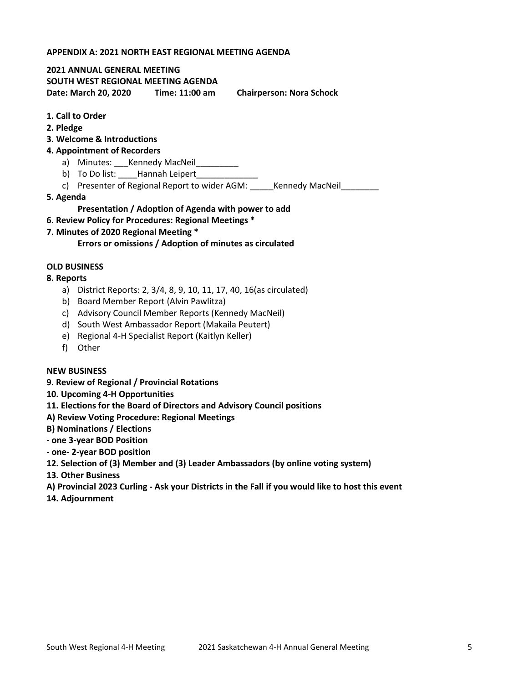## **APPENDIX A: 2021 NORTH EAST REGIONAL MEETING AGENDA**

#### **2021 ANNUAL GENERAL MEETING**

**SOUTH WEST REGIONAL MEETING AGENDA**

**Date: March 20, 2020 Time: 11:00 am Chairperson: Nora Schock**

# **1. Call to Order**

**2. Pledge**

## **3. Welcome & Introductions**

## **4. Appointment of Recorders**

- a) Minutes: \_\_\_Kennedy MacNeil\_\_\_\_\_\_\_\_\_
- b) To Do list: **\_\_\_\_Hannah Leipert**
- c) Presenter of Regional Report to wider AGM: \_\_\_\_\_\_ Kennedy MacNeil
- **5. Agenda**

# **Presentation / Adoption of Agenda with power to add**

- **6. Review Policy for Procedures: Regional Meetings \***
- **7. Minutes of 2020 Regional Meeting \***

## **Errors or omissions / Adoption of minutes as circulated**

## **OLD BUSINESS**

## **8. Reports**

- a) District Reports: 2, 3/4, 8, 9, 10, 11, 17, 40, 16(as circulated)
- b) Board Member Report (Alvin Pawlitza)
- c) Advisory Council Member Reports (Kennedy MacNeil)
- d) South West Ambassador Report (Makaila Peutert)
- e) Regional 4-H Specialist Report (Kaitlyn Keller)
- f) Other

# **NEW BUSINESS**

**9. Review of Regional / Provincial Rotations**

# **10. Upcoming 4-H Opportunities**

- **11. Elections for the Board of Directors and Advisory Council positions**
- **A) Review Voting Procedure: Regional Meetings**
- **B) Nominations / Elections**
- **- one 3-year BOD Position**
- **- one- 2-year BOD position**
- **12. Selection of (3) Member and (3) Leader Ambassadors (by online voting system)**
- **13. Other Business**
- **A) Provincial 2023 Curling - Ask your Districts in the Fall if you would like to host this event**
- **14. Adjournment**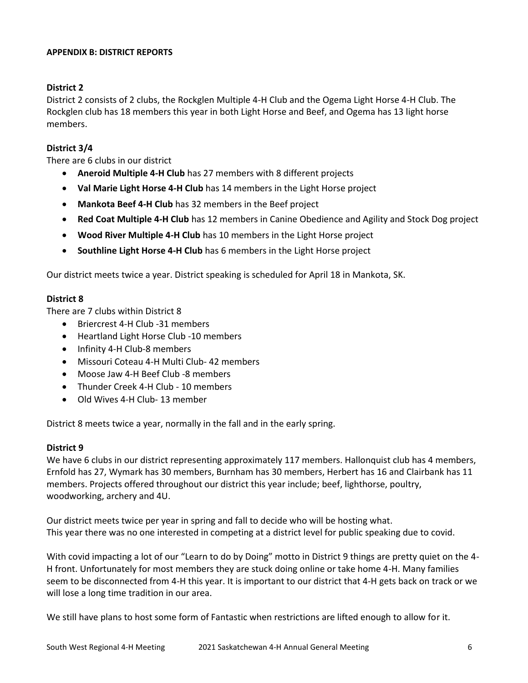# **APPENDIX B: DISTRICT REPORTS**

# **District 2**

District 2 consists of 2 clubs, the Rockglen Multiple 4-H Club and the Ogema Light Horse 4-H Club. The Rockglen club has 18 members this year in both Light Horse and Beef, and Ogema has 13 light horse members.

# **District 3/4**

There are 6 clubs in our district

- **Aneroid Multiple 4-H Club** has 27 members with 8 different projects
- **Val Marie Light Horse 4-H Club** has 14 members in the Light Horse project
- **Mankota Beef 4-H Club** has 32 members in the Beef project
- **Red Coat Multiple 4-H Club** has 12 members in Canine Obedience and Agility and Stock Dog project
- **Wood River Multiple 4-H Club** has 10 members in the Light Horse project
- **Southline Light Horse 4-H Club** has 6 members in the Light Horse project

Our district meets twice a year. District speaking is scheduled for April 18 in Mankota, SK.

# **District 8**

There are 7 clubs within District 8

- Briercrest 4-H Club -31 members
- Heartland Light Horse Club -10 members
- Infinity 4-H Club-8 members
- Missouri Coteau 4-H Multi Club- 42 members
- Moose Jaw 4-H Beef Club -8 members
- Thunder Creek 4-H Club 10 members
- Old Wives 4-H Club- 13 member

District 8 meets twice a year, normally in the fall and in the early spring.

# **District 9**

We have 6 clubs in our district representing approximately 117 members. Hallonquist club has 4 members, Ernfold has 27, Wymark has 30 members, Burnham has 30 members, Herbert has 16 and Clairbank has 11 members. Projects offered throughout our district this year include; beef, lighthorse, poultry, woodworking, archery and 4U.

Our district meets twice per year in spring and fall to decide who will be hosting what. This year there was no one interested in competing at a district level for public speaking due to covid.

With covid impacting a lot of our "Learn to do by Doing" motto in District 9 things are pretty quiet on the 4- H front. Unfortunately for most members they are stuck doing online or take home 4-H. Many families seem to be disconnected from 4-H this year. It is important to our district that 4-H gets back on track or we will lose a long time tradition in our area.

We still have plans to host some form of Fantastic when restrictions are lifted enough to allow for it.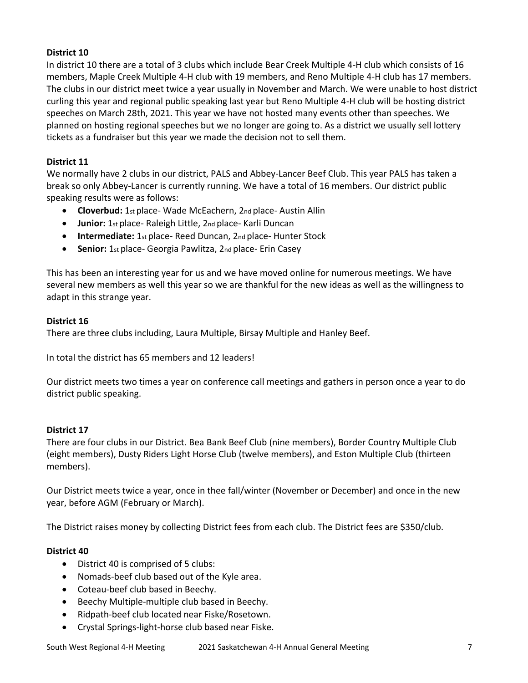# **District 10**

In district 10 there are a total of 3 clubs which include Bear Creek Multiple 4-H club which consists of 16 members, Maple Creek Multiple 4-H club with 19 members, and Reno Multiple 4-H club has 17 members. The clubs in our district meet twice a year usually in November and March. We were unable to host district curling this year and regional public speaking last year but Reno Multiple 4-H club will be hosting district speeches on March 28th, 2021. This year we have not hosted many events other than speeches. We planned on hosting regional speeches but we no longer are going to. As a district we usually sell lottery tickets as a fundraiser but this year we made the decision not to sell them.

# **District 11**

We normally have 2 clubs in our district, PALS and Abbey-Lancer Beef Club. This year PALS has taken a break so only Abbey-Lancer is currently running. We have a total of 16 members. Our district public speaking results were as follows:

- **Cloverbud:** 1st place- Wade McEachern, 2nd place- Austin Allin
- **Junior:** 1st place- Raleigh Little, 2nd place- Karli Duncan
- **Intermediate:** 1st place- Reed Duncan, 2nd place- Hunter Stock
- **Senior:** 1st place- Georgia Pawlitza, 2nd place- Erin Casey

This has been an interesting year for us and we have moved online for numerous meetings. We have several new members as well this year so we are thankful for the new ideas as well as the willingness to adapt in this strange year.

# **District 16**

There are three clubs including, Laura Multiple, Birsay Multiple and Hanley Beef.

In total the district has 65 members and 12 leaders!

Our district meets two times a year on conference call meetings and gathers in person once a year to do district public speaking.

# **District 17**

There are four clubs in our District. Bea Bank Beef Club (nine members), Border Country Multiple Club (eight members), Dusty Riders Light Horse Club (twelve members), and Eston Multiple Club (thirteen members).

Our District meets twice a year, once in thee fall/winter (November or December) and once in the new year, before AGM (February or March).

The District raises money by collecting District fees from each club. The District fees are \$350/club.

# **District 40**

- District 40 is comprised of 5 clubs:
- Nomads-beef club based out of the Kyle area.
- Coteau-beef club based in Beechy.
- Beechy Multiple-multiple club based in Beechy.
- Ridpath-beef club located near Fiske/Rosetown.
- Crystal Springs-light-horse club based near Fiske.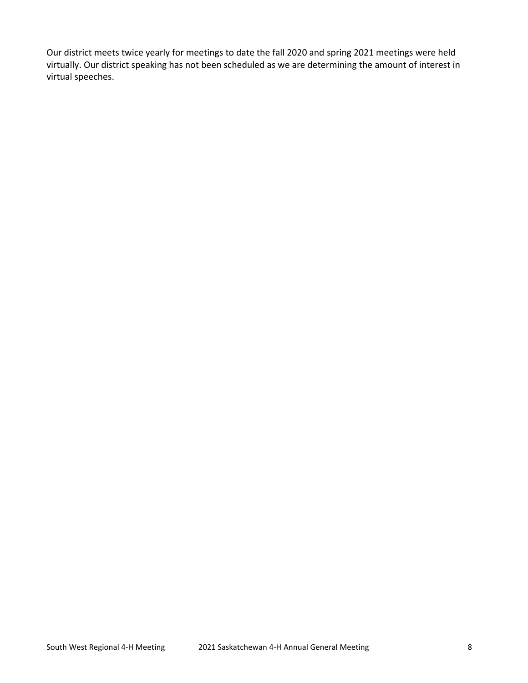Our district meets twice yearly for meetings to date the fall 2020 and spring 2021 meetings were held virtually. Our district speaking has not been scheduled as we are determining the amount of interest in virtual speeches.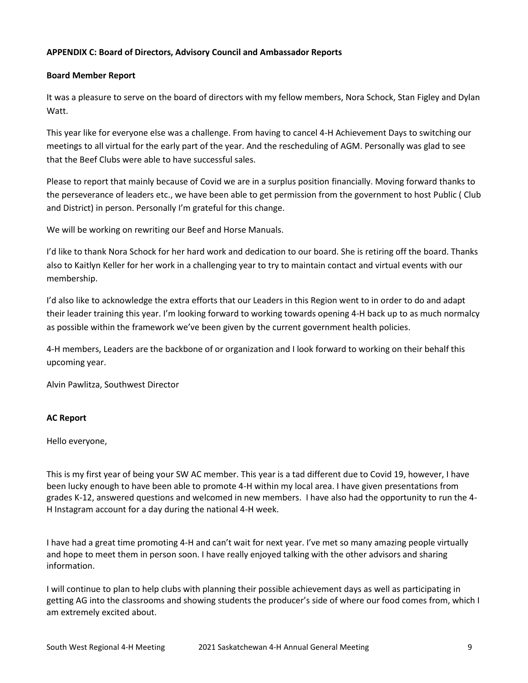# **APPENDIX C: Board of Directors, Advisory Council and Ambassador Reports**

## **Board Member Report**

It was a pleasure to serve on the board of directors with my fellow members, Nora Schock, Stan Figley and Dylan Watt.

This year like for everyone else was a challenge. From having to cancel 4-H Achievement Days to switching our meetings to all virtual for the early part of the year. And the rescheduling of AGM. Personally was glad to see that the Beef Clubs were able to have successful sales.

Please to report that mainly because of Covid we are in a surplus position financially. Moving forward thanks to the perseverance of leaders etc., we have been able to get permission from the government to host Public ( Club and District) in person. Personally I'm grateful for this change.

We will be working on rewriting our Beef and Horse Manuals.

I'd like to thank Nora Schock for her hard work and dedication to our board. She is retiring off the board. Thanks also to Kaitlyn Keller for her work in a challenging year to try to maintain contact and virtual events with our membership.

I'd also like to acknowledge the extra efforts that our Leaders in this Region went to in order to do and adapt their leader training this year. I'm looking forward to working towards opening 4-H back up to as much normalcy as possible within the framework we've been given by the current government health policies.

4-H members, Leaders are the backbone of or organization and I look forward to working on their behalf this upcoming year.

Alvin Pawlitza, Southwest Director

# **AC Report**

Hello everyone,

This is my first year of being your SW AC member. This year is a tad different due to Covid 19, however, I have been lucky enough to have been able to promote 4-H within my local area. I have given presentations from grades K-12, answered questions and welcomed in new members. I have also had the opportunity to run the 4- H Instagram account for a day during the national 4-H week.

I have had a great time promoting 4-H and can't wait for next year. I've met so many amazing people virtually and hope to meet them in person soon. I have really enjoyed talking with the other advisors and sharing information.

I will continue to plan to help clubs with planning their possible achievement days as well as participating in getting AG into the classrooms and showing students the producer's side of where our food comes from, which I am extremely excited about.